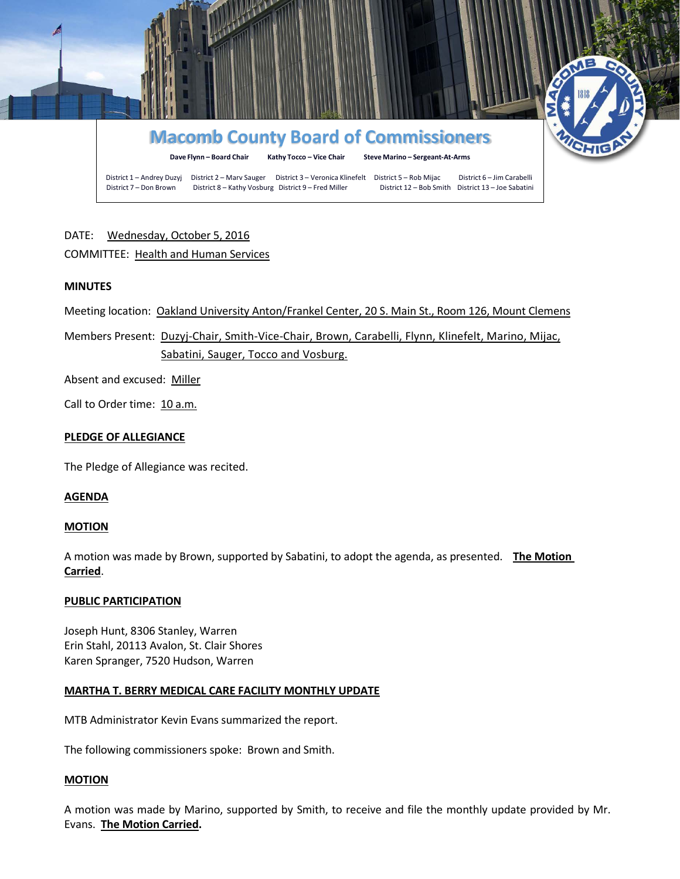

# DATE: Wednesday, October 5, 2016

## COMMITTEE: Health and Human Services

## **MINUTES**

Meeting location: Oakland University Anton/Frankel Center, 20 S. Main St., Room 126, Mount Clemens

Members Present: Duzyj-Chair, Smith-Vice-Chair, Brown, Carabelli, Flynn, Klinefelt, Marino, Mijac, Sabatini, Sauger, Tocco and Vosburg.

Absent and excused: Miller

Call to Order time: 10 a.m.

### **PLEDGE OF ALLEGIANCE**

The Pledge of Allegiance was recited.

### **AGENDA**

### **MOTION**

A motion was made by Brown, supported by Sabatini, to adopt the agenda, as presented. **The Motion Carried**.

## **PUBLIC PARTICIPATION**

Joseph Hunt, 8306 Stanley, Warren Erin Stahl, 20113 Avalon, St. Clair Shores Karen Spranger, 7520 Hudson, Warren

## **MARTHA T. BERRY MEDICAL CARE FACILITY MONTHLY UPDATE**

MTB Administrator Kevin Evans summarized the report.

The following commissioners spoke: Brown and Smith.

### **MOTION**

A motion was made by Marino, supported by Smith, to receive and file the monthly update provided by Mr. Evans. **The Motion Carried.**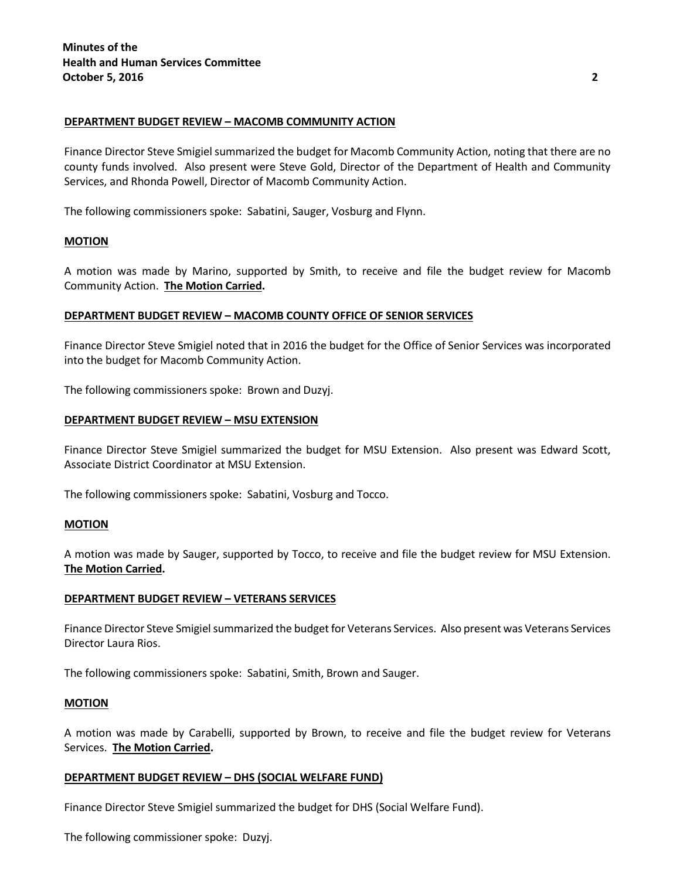### **DEPARTMENT BUDGET REVIEW – MACOMB COMMUNITY ACTION**

Finance Director Steve Smigiel summarized the budget for Macomb Community Action, noting that there are no county funds involved. Also present were Steve Gold, Director of the Department of Health and Community Services, and Rhonda Powell, Director of Macomb Community Action.

The following commissioners spoke: Sabatini, Sauger, Vosburg and Flynn.

### **MOTION**

A motion was made by Marino, supported by Smith, to receive and file the budget review for Macomb Community Action. **The Motion Carried.**

### **DEPARTMENT BUDGET REVIEW – MACOMB COUNTY OFFICE OF SENIOR SERVICES**

Finance Director Steve Smigiel noted that in 2016 the budget for the Office of Senior Services was incorporated into the budget for Macomb Community Action.

The following commissioners spoke: Brown and Duzyj.

### **DEPARTMENT BUDGET REVIEW – MSU EXTENSION**

Finance Director Steve Smigiel summarized the budget for MSU Extension. Also present was Edward Scott, Associate District Coordinator at MSU Extension.

The following commissioners spoke: Sabatini, Vosburg and Tocco.

### **MOTION**

A motion was made by Sauger, supported by Tocco, to receive and file the budget review for MSU Extension. **The Motion Carried.**

### **DEPARTMENT BUDGET REVIEW – VETERANS SERVICES**

Finance Director Steve Smigiel summarized the budget for Veterans Services. Also present was Veterans Services Director Laura Rios.

The following commissioners spoke: Sabatini, Smith, Brown and Sauger.

### **MOTION**

A motion was made by Carabelli, supported by Brown, to receive and file the budget review for Veterans Services. **The Motion Carried.**

### **DEPARTMENT BUDGET REVIEW – DHS (SOCIAL WELFARE FUND)**

Finance Director Steve Smigiel summarized the budget for DHS (Social Welfare Fund).

The following commissioner spoke: Duzyj.